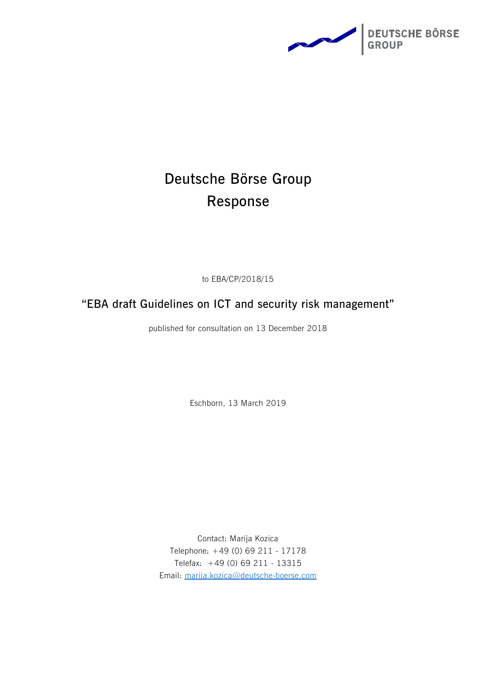

# **Deutsche Börse Group Response**

to EBA/CP/2018/15

**"EBA draft Guidelines on ICT and security risk management"** 

published for consultation on 13 December 2018

Eschborn, 13 March 2019

Contact: Marija Kozica Telephone: +49 (0) 69 211 - 17178 Telefax: +49 (0) 69 211 - 13315 Email: [marija.kozica@deutsche-boerse.com](mailto:marija.kozica@deutsche-boerse.com)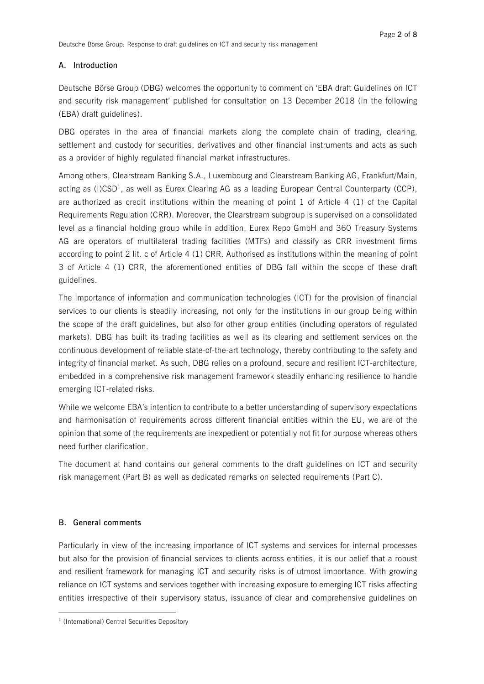#### **A. Introduction**

Deutsche Börse Group (DBG) welcomes the opportunity to comment on 'EBA draft Guidelines on ICT and security risk management' published for consultation on 13 December 2018 (in the following (EBA) draft guidelines).

DBG operates in the area of financial markets along the complete chain of trading, clearing, settlement and custody for securities, derivatives and other financial instruments and acts as such as a provider of highly regulated financial market infrastructures.

Among others, Clearstream Banking S.A., Luxembourg and Clearstream Banking AG, Frankfurt/Main, acting as (I)CSD<sup>1</sup>, as well as Eurex Clearing AG as a leading European Central Counterparty (CCP), are authorized as credit institutions within the meaning of point 1 of Article 4 (1) of the Capital Requirements Regulation (CRR). Moreover, the Clearstream subgroup is supervised on a consolidated level as a financial holding group while in addition, Eurex Repo GmbH and 360 Treasury Systems AG are operators of multilateral trading facilities (MTFs) and classify as CRR investment firms according to point 2 lit. c of Article 4 (1) CRR. Authorised as institutions within the meaning of point 3 of Article 4 (1) CRR, the aforementioned entities of DBG fall within the scope of these draft guidelines.

The importance of information and communication technologies (ICT) for the provision of financial services to our clients is steadily increasing, not only for the institutions in our group being within the scope of the draft guidelines, but also for other group entities (including operators of regulated markets). DBG has built its trading facilities as well as its clearing and settlement services on the continuous development of reliable state-of-the-art technology, thereby contributing to the safety and integrity of financial market. As such, DBG relies on a profound, secure and resilient ICT-architecture, embedded in a comprehensive risk management framework steadily enhancing resilience to handle emerging ICT-related risks.

While we welcome EBA's intention to contribute to a better understanding of supervisory expectations and harmonisation of requirements across different financial entities within the EU, we are of the opinion that some of the requirements are inexpedient or potentially not fit for purpose whereas others need further clarification.

The document at hand contains our general comments to the draft guidelines on ICT and security risk management (Part B) as well as dedicated remarks on selected requirements (Part C).

#### **B. General comments**

 $\overline{a}$ 

Particularly in view of the increasing importance of ICT systems and services for internal processes but also for the provision of financial services to clients across entities, it is our belief that a robust and resilient framework for managing ICT and security risks is of utmost importance. With growing reliance on ICT systems and services together with increasing exposure to emerging ICT risks affecting entities irrespective of their supervisory status, issuance of clear and comprehensive guidelines on

<sup>&</sup>lt;sup>1</sup> (International) Central Securities Depository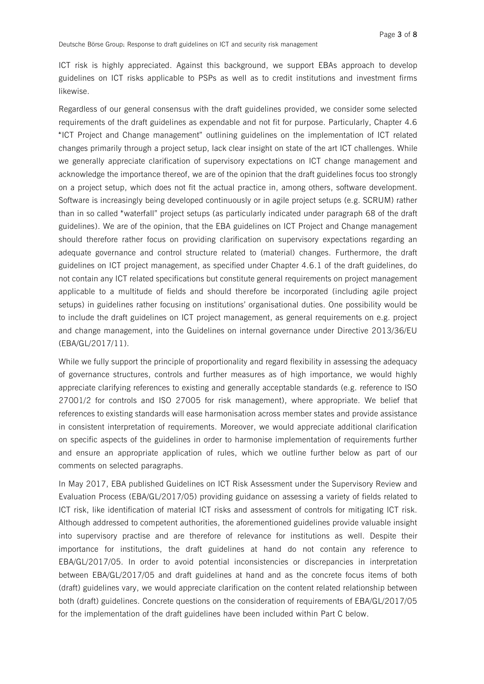ICT risk is highly appreciated. Against this background, we support EBAs approach to develop guidelines on ICT risks applicable to PSPs as well as to credit institutions and investment firms likewise.

Regardless of our general consensus with the draft guidelines provided, we consider some selected requirements of the draft guidelines as expendable and not fit for purpose. Particularly, Chapter 4.6 "ICT Project and Change management" outlining guidelines on the implementation of ICT related changes primarily through a project setup, lack clear insight on state of the art ICT challenges. While we generally appreciate clarification of supervisory expectations on ICT change management and acknowledge the importance thereof, we are of the opinion that the draft guidelines focus too strongly on a project setup, which does not fit the actual practice in, among others, software development. Software is increasingly being developed continuously or in agile project setups (e.g. SCRUM) rather than in so called "waterfall" project setups (as particularly indicated under paragraph 68 of the draft guidelines). We are of the opinion, that the EBA guidelines on ICT Project and Change management should therefore rather focus on providing clarification on supervisory expectations regarding an adequate governance and control structure related to (material) changes. Furthermore, the draft guidelines on ICT project management, as specified under Chapter 4.6.1 of the draft guidelines, do not contain any ICT related specifications but constitute general requirements on project management applicable to a multitude of fields and should therefore be incorporated (including agile project setups) in guidelines rather focusing on institutions' organisational duties. One possibility would be to include the draft guidelines on ICT project management, as general requirements on e.g. project and change management, into the Guidelines on internal governance under Directive 2013/36/EU (EBA/GL/2017/11).

While we fully support the principle of proportionality and regard flexibility in assessing the adequacy of governance structures, controls and further measures as of high importance, we would highly appreciate clarifying references to existing and generally acceptable standards (e.g. reference to ISO 27001/2 for controls and ISO 27005 for risk management), where appropriate. We belief that references to existing standards will ease harmonisation across member states and provide assistance in consistent interpretation of requirements. Moreover, we would appreciate additional clarification on specific aspects of the guidelines in order to harmonise implementation of requirements further and ensure an appropriate application of rules, which we outline further below as part of our comments on selected paragraphs.

In May 2017, EBA published Guidelines on ICT Risk Assessment under the Supervisory Review and Evaluation Process (EBA/GL/2017/05) providing guidance on assessing a variety of fields related to ICT risk, like identification of material ICT risks and assessment of controls for mitigating ICT risk. Although addressed to competent authorities, the aforementioned guidelines provide valuable insight into supervisory practise and are therefore of relevance for institutions as well. Despite their importance for institutions, the draft guidelines at hand do not contain any reference to EBA/GL/2017/05. In order to avoid potential inconsistencies or discrepancies in interpretation between EBA/GL/2017/05 and draft guidelines at hand and as the concrete focus items of both (draft) guidelines vary, we would appreciate clarification on the content related relationship between both (draft) guidelines. Concrete questions on the consideration of requirements of EBA/GL/2017/05 for the implementation of the draft guidelines have been included within Part C below.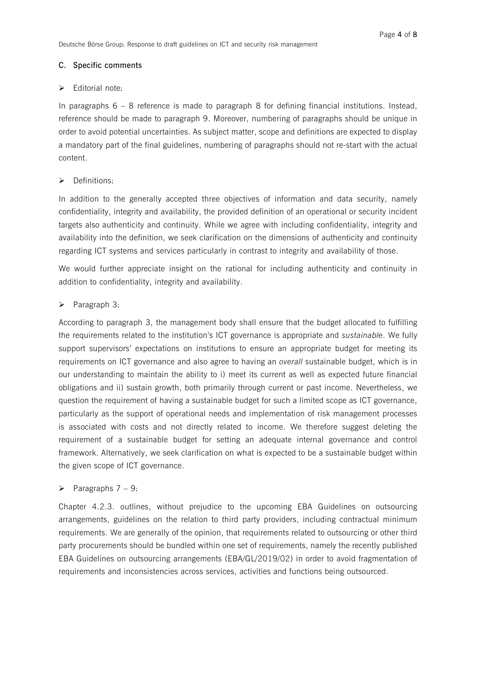#### **C. Specific comments**

#### $\triangleright$  Editorial note:

In paragraphs  $6 - 8$  reference is made to paragraph 8 for defining financial institutions. Instead, reference should be made to paragraph 9. Moreover, numbering of paragraphs should be unique in order to avoid potential uncertainties. As subject matter, scope and definitions are expected to display a mandatory part of the final guidelines, numbering of paragraphs should not re-start with the actual content.

# $\triangleright$  Definitions:

In addition to the generally accepted three objectives of information and data security, namely confidentiality, integrity and availability, the provided definition of an operational or security incident targets also authenticity and continuity. While we agree with including confidentiality, integrity and availability into the definition, we seek clarification on the dimensions of authenticity and continuity regarding ICT systems and services particularly in contrast to integrity and availability of those.

We would further appreciate insight on the rational for including authenticity and continuity in addition to confidentiality, integrity and availability.

#### $\triangleright$  Paragraph 3:

According to paragraph 3, the management body shall ensure that the budget allocated to fulfilling the requirements related to the institution's ICT governance is appropriate and *sustainable*. We fully support supervisors' expectations on institutions to ensure an appropriate budget for meeting its requirements on ICT governance and also agree to having an *overall* sustainable budget, which is in our understanding to maintain the ability to i) meet its current as well as expected future financial obligations and ii) sustain growth, both primarily through current or past income. Nevertheless, we question the requirement of having a sustainable budget for such a limited scope as ICT governance, particularly as the support of operational needs and implementation of risk management processes is associated with costs and not directly related to income. We therefore suggest deleting the requirement of a sustainable budget for setting an adequate internal governance and control framework. Alternatively, we seek clarification on what is expected to be a sustainable budget within the given scope of ICT governance.

# $\triangleright$  Paragraphs 7 – 9:

Chapter 4.2.3. outlines, without prejudice to the upcoming EBA Guidelines on outsourcing arrangements, guidelines on the relation to third party providers, including contractual minimum requirements. We are generally of the opinion, that requirements related to outsourcing or other third party procurements should be bundled within one set of requirements, namely the recently published EBA Guidelines on outsourcing arrangements (EBA/GL/2019/02) in order to avoid fragmentation of requirements and inconsistencies across services, activities and functions being outsourced.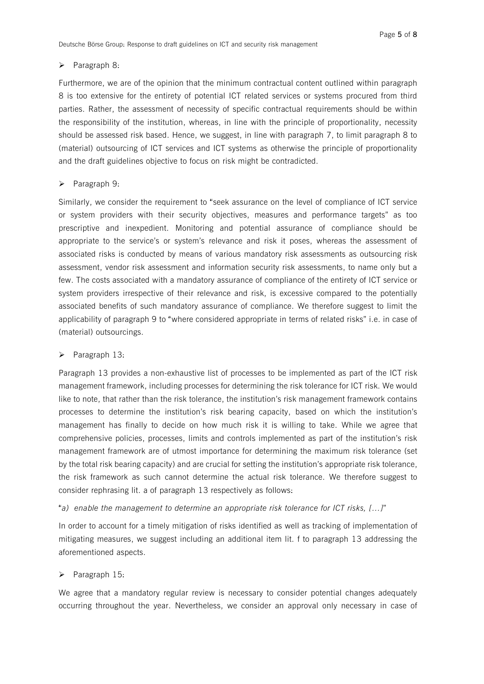#### $\triangleright$  Paragraph 8:

Furthermore, we are of the opinion that the minimum contractual content outlined within paragraph 8 is too extensive for the entirety of potential ICT related services or systems procured from third parties. Rather, the assessment of necessity of specific contractual requirements should be within the responsibility of the institution, whereas, in line with the principle of proportionality, necessity should be assessed risk based. Hence, we suggest, in line with paragraph 7, to limit paragraph 8 to (material) outsourcing of ICT services and ICT systems as otherwise the principle of proportionality and the draft guidelines objective to focus on risk might be contradicted.

#### $\triangleright$  Paragraph 9:

Similarly, we consider the requirement to "seek assurance on the level of compliance of ICT service or system providers with their security objectives, measures and performance targets" as too prescriptive and inexpedient. Monitoring and potential assurance of compliance should be appropriate to the service's or system's relevance and risk it poses, whereas the assessment of associated risks is conducted by means of various mandatory risk assessments as outsourcing risk assessment, vendor risk assessment and information security risk assessments, to name only but a few. The costs associated with a mandatory assurance of compliance of the entirety of ICT service or system providers irrespective of their relevance and risk, is excessive compared to the potentially associated benefits of such mandatory assurance of compliance. We therefore suggest to limit the applicability of paragraph 9 to "where considered appropriate in terms of related risks" i.e. in case of (material) outsourcings.

#### Paragraph 13:

Paragraph 13 provides a non-exhaustive list of processes to be implemented as part of the ICT risk management framework, including processes for determining the risk tolerance for ICT risk. We would like to note, that rather than the risk tolerance, the institution's risk management framework contains processes to determine the institution's risk bearing capacity, based on which the institution's management has finally to decide on how much risk it is willing to take. While we agree that comprehensive policies, processes, limits and controls implemented as part of the institution's risk management framework are of utmost importance for determining the maximum risk tolerance (set by the total risk bearing capacity) and are crucial for setting the institution's appropriate risk tolerance, the risk framework as such cannot determine the actual risk tolerance. We therefore suggest to consider rephrasing lit. a of paragraph 13 respectively as follows:

# "*a) enable the management to determine an appropriate risk tolerance for ICT risks, […]*"

In order to account for a timely mitigation of risks identified as well as tracking of implementation of mitigating measures, we suggest including an additional item lit. f to paragraph 13 addressing the aforementioned aspects.

#### $\triangleright$  Paragraph 15:

We agree that a mandatory regular review is necessary to consider potential changes adequately occurring throughout the year. Nevertheless, we consider an approval only necessary in case of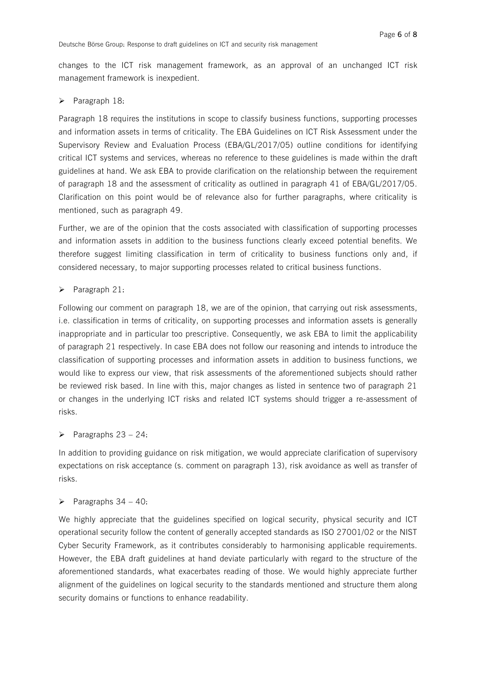changes to the ICT risk management framework, as an approval of an unchanged ICT risk management framework is inexpedient.

#### $\triangleright$  Paragraph 18:

Paragraph 18 requires the institutions in scope to classify business functions, supporting processes and information assets in terms of criticality. The EBA Guidelines on ICT Risk Assessment under the Supervisory Review and Evaluation Process (EBA/GL/2017/05) outline conditions for identifying critical ICT systems and services, whereas no reference to these guidelines is made within the draft guidelines at hand. We ask EBA to provide clarification on the relationship between the requirement of paragraph 18 and the assessment of criticality as outlined in paragraph 41 of EBA/GL/2017/05. Clarification on this point would be of relevance also for further paragraphs, where criticality is mentioned, such as paragraph 49.

Further, we are of the opinion that the costs associated with classification of supporting processes and information assets in addition to the business functions clearly exceed potential benefits. We therefore suggest limiting classification in term of criticality to business functions only and, if considered necessary, to major supporting processes related to critical business functions.

# $\triangleright$  Paragraph 21:

Following our comment on paragraph 18, we are of the opinion, that carrying out risk assessments, i.e. classification in terms of criticality, on supporting processes and information assets is generally inappropriate and in particular too prescriptive. Consequently, we ask EBA to limit the applicability of paragraph 21 respectively. In case EBA does not follow our reasoning and intends to introduce the classification of supporting processes and information assets in addition to business functions, we would like to express our view, that risk assessments of the aforementioned subjects should rather be reviewed risk based. In line with this, major changes as listed in sentence two of paragraph 21 or changes in the underlying ICT risks and related ICT systems should trigger a re-assessment of risks.

# $\triangleright$  Paragraphs 23 – 24:

In addition to providing guidance on risk mitigation, we would appreciate clarification of supervisory expectations on risk acceptance (s. comment on paragraph 13), risk avoidance as well as transfer of risks.

# Paragraphs  $34 - 40$ :

We highly appreciate that the guidelines specified on logical security, physical security and ICT operational security follow the content of generally accepted standards as ISO 27001/02 or the NIST Cyber Security Framework, as it contributes considerably to harmonising applicable requirements. However, the EBA draft guidelines at hand deviate particularly with regard to the structure of the aforementioned standards, what exacerbates reading of those. We would highly appreciate further alignment of the guidelines on logical security to the standards mentioned and structure them along security domains or functions to enhance readability.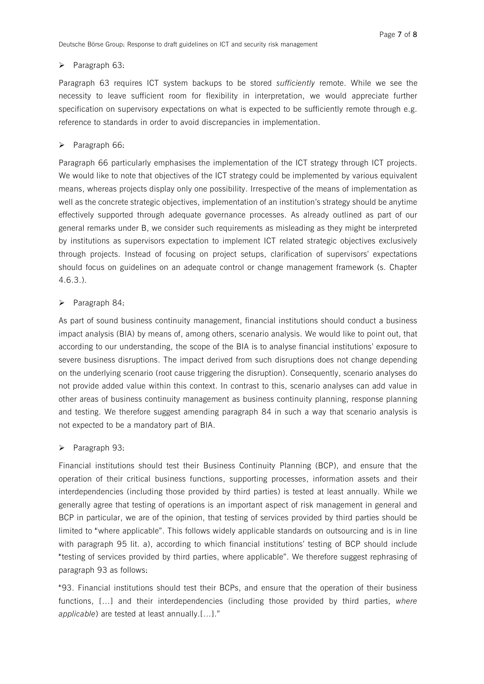# ▶ Paragraph 63:

Paragraph 63 requires ICT system backups to be stored *sufficiently* remote. While we see the necessity to leave sufficient room for flexibility in interpretation, we would appreciate further specification on supervisory expectations on what is expected to be sufficiently remote through e.g. reference to standards in order to avoid discrepancies in implementation.

# $\triangleright$  Paragraph 66:

Paragraph 66 particularly emphasises the implementation of the ICT strategy through ICT projects. We would like to note that objectives of the ICT strategy could be implemented by various equivalent means, whereas projects display only one possibility. Irrespective of the means of implementation as well as the concrete strategic objectives, implementation of an institution's strategy should be anytime effectively supported through adequate governance processes. As already outlined as part of our general remarks under B, we consider such requirements as misleading as they might be interpreted by institutions as supervisors expectation to implement ICT related strategic objectives exclusively through projects. Instead of focusing on project setups, clarification of supervisors' expectations should focus on guidelines on an adequate control or change management framework (s. Chapter 4.6.3.).

# $\triangleright$  Paragraph 84:

As part of sound business continuity management, financial institutions should conduct a business impact analysis (BIA) by means of, among others, scenario analysis. We would like to point out, that according to our understanding, the scope of the BIA is to analyse financial institutions' exposure to severe business disruptions. The impact derived from such disruptions does not change depending on the underlying scenario (root cause triggering the disruption). Consequently, scenario analyses do not provide added value within this context. In contrast to this, scenario analyses can add value in other areas of business continuity management as business continuity planning, response planning and testing. We therefore suggest amending paragraph 84 in such a way that scenario analysis is not expected to be a mandatory part of BIA.

# ▶ Paragraph 93:

Financial institutions should test their Business Continuity Planning (BCP), and ensure that the operation of their critical business functions, supporting processes, information assets and their interdependencies (including those provided by third parties) is tested at least annually. While we generally agree that testing of operations is an important aspect of risk management in general and BCP in particular, we are of the opinion, that testing of services provided by third parties should be limited to "where applicable". This follows widely applicable standards on outsourcing and is in line with paragraph 95 lit. a), according to which financial institutions' testing of BCP should include "testing of services provided by third parties, where applicable". We therefore suggest rephrasing of paragraph 93 as follows:

"93. Financial institutions should test their BCPs, and ensure that the operation of their business functions, […] and their interdependencies (including those provided by third parties, *where applicable*) are tested at least annually.[…]."